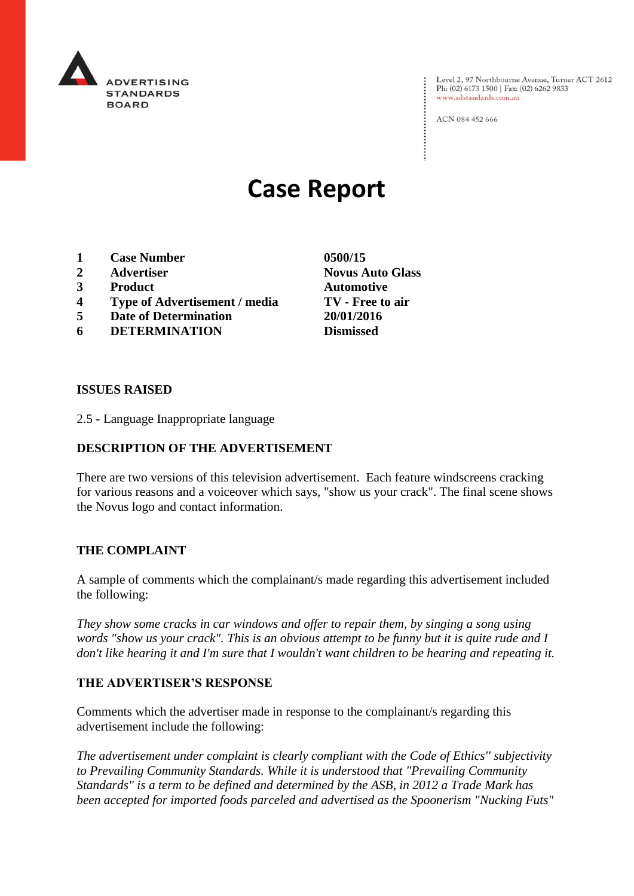

Level 2, 97 Northbourne Avenue, Turner ACT 2612 Ph: (02) 6173 1500 | Fax: (02) 6262 9833 www.adstandards.com.au

ACN 084 452 666

# **Case Report**

- **1 Case Number 0500/15**
- **2 Advertiser Novus Auto Glass**
- **3 Product Automotive**
- **4 Type of Advertisement / media TV - Free to air**
- **5 Date of Determination 20/01/2016**
- **6 DETERMINATION Dismissed**

**ISSUES RAISED**

2.5 - Language Inappropriate language

## **DESCRIPTION OF THE ADVERTISEMENT**

There are two versions of this television advertisement. Each feature windscreens cracking for various reasons and a voiceover which says, "show us your crack". The final scene shows the Novus logo and contact information.

### **THE COMPLAINT**

A sample of comments which the complainant/s made regarding this advertisement included the following:

*They show some cracks in car windows and offer to repair them, by singing a song using words "show us your crack". This is an obvious attempt to be funny but it is quite rude and I don't like hearing it and I'm sure that I wouldn't want children to be hearing and repeating it.*

### **THE ADVERTISER'S RESPONSE**

Comments which the advertiser made in response to the complainant/s regarding this advertisement include the following:

*The advertisement under complaint is clearly compliant with the Code of Ethics'' subjectivity to Prevailing Community Standards. While it is understood that "Prevailing Community Standards" is a term to be defined and determined by the ASB, in 2012 a Trade Mark has been accepted for imported foods parceled and advertised as the Spoonerism "Nucking Futs"*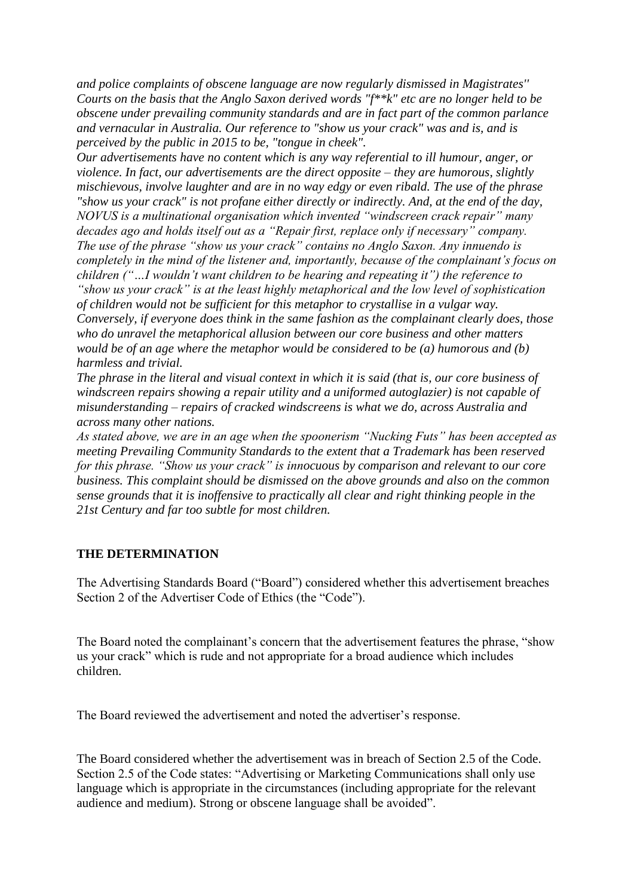*and police complaints of obscene language are now regularly dismissed in Magistrates'' Courts on the basis that the Anglo Saxon derived words "f\*\*k" etc are no longer held to be obscene under prevailing community standards and are in fact part of the common parlance and vernacular in Australia. Our reference to "show us your crack" was and is, and is perceived by the public in 2015 to be, "tongue in cheek".*

*Our advertisements have no content which is any way referential to ill humour, anger, or violence. In fact, our advertisements are the direct opposite – they are humorous, slightly mischievous, involve laughter and are in no way edgy or even ribald. The use of the phrase "show us your crack" is not profane either directly or indirectly. And, at the end of the day, NOVUS is a multinational organisation which invented "windscreen crack repair" many decades ago and holds itself out as a "Repair first, replace only if necessary" company. The use of the phrase "show us your crack" contains no Anglo Saxon. Any innuendo is completely in the mind of the listener and, importantly, because of the complainant's focus on children ("…I wouldn't want children to be hearing and repeating it") the reference to "show us your crack" is at the least highly metaphorical and the low level of sophistication of children would not be sufficient for this metaphor to crystallise in a vulgar way. Conversely, if everyone does think in the same fashion as the complainant clearly does, those who do unravel the metaphorical allusion between our core business and other matters would be of an age where the metaphor would be considered to be (a) humorous and (b) harmless and trivial.*

*The phrase in the literal and visual context in which it is said (that is, our core business of windscreen repairs showing a repair utility and a uniformed autoglazier) is not capable of misunderstanding – repairs of cracked windscreens is what we do, across Australia and across many other nations.*

*As stated above, we are in an age when the spoonerism "Nucking Futs" has been accepted as meeting Prevailing Community Standards to the extent that a Trademark has been reserved for this phrase. "Show us your crack" is innocuous by comparison and relevant to our core business. This complaint should be dismissed on the above grounds and also on the common sense grounds that it is inoffensive to practically all clear and right thinking people in the 21st Century and far too subtle for most children.*

### **THE DETERMINATION**

The Advertising Standards Board ("Board") considered whether this advertisement breaches Section 2 of the Advertiser Code of Ethics (the "Code").

The Board noted the complainant's concern that the advertisement features the phrase, "show us your crack" which is rude and not appropriate for a broad audience which includes children.

The Board reviewed the advertisement and noted the advertiser's response.

The Board considered whether the advertisement was in breach of Section 2.5 of the Code. Section 2.5 of the Code states: "Advertising or Marketing Communications shall only use language which is appropriate in the circumstances (including appropriate for the relevant audience and medium). Strong or obscene language shall be avoided".